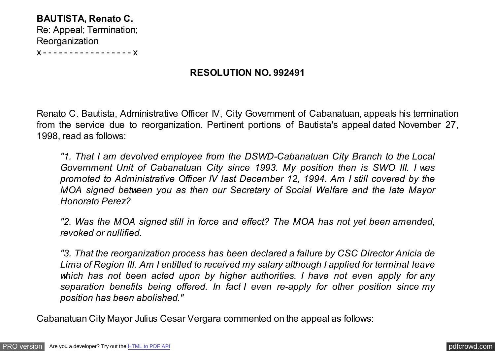**BAUTISTA, Renato C.** Re: Appeal; Termination; **Reorganization** 

x - - - - - - - - - - - - - - - - - x

# **RESOLUTION NO. 992491**

Renato C. Bautista, Administrative Officer IV, City Government of Cabanatuan, appeals his termination from the service due to reorganization. Pertinent portions of Bautista's appeal dated November 27, 1998, read as follows:

*"1. That I am devolved employee from the DSWD-Cabanatuan City Branch to the Local Government Unit of Cabanatuan City since 1993. My position then is SWO III. I was promoted to Administrative Officer IV last December 12, 1994. Am I still covered by the MOA signed between you as then our Secretary of Social Welfare and the late Mayor Honorato Perez?*

*"2. Was the MOA signed still in force and effect? The MOA has not yet been amended, revoked or nullified.*

*"3. That the reorganization process has been declared a failure by CSC Director Anicia de Lima of Region III. Am I entitled to received my salary although I applied for terminal leave which has not been acted upon by higher authorities. I have not even apply for any separation benefits being offered. In fact I even re-apply for other position since my position has been abolished."*

Cabanatuan City Mayor Julius Cesar Vergara commented on the appeal as follows: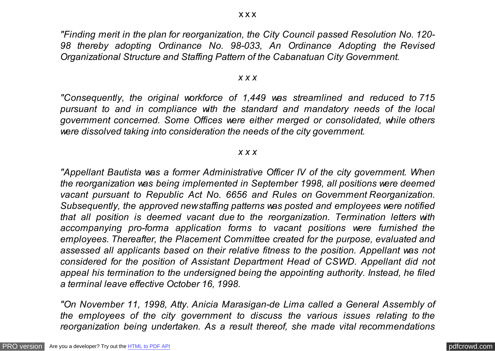*"Finding merit in the plan for reorganization, the City Council passed Resolution No. 120- 98 thereby adopting Ordinance No. 98-033, An Ordinance Adopting the Revised Organizational Structure and Staffing Pattern of the Cabanatuan City Government.*

#### *x x x*

*"Consequently, the original workforce of 1,449 was streamlined and reduced to 715 pursuant to and in compliance with the standard and mandatory needs of the local government concerned. Some Offices were either merged or consolidated, while others were dissolved taking into consideration the needs of the city government.*

## *x x x*

*"Appellant Bautista was a former Administrative Officer IV of the city government. When the reorganization was being implemented in September 1998, all positions were deemed vacant pursuant to Republic Act No. 6656 and Rules on Government Reorganization. Subsequently, the approved new staffing patterns was posted and employees were notified that all position is deemed vacant due to the reorganization. Termination letters with accompanying pro-forma application forms to vacant positions were furnished the employees. Thereafter, the Placement Committee created for the purpose, evaluated and assessed all applicants based on their relative fitness to the position. Appellant was not considered for the position of Assistant Department Head of CSWD. Appellant did not appeal his termination to the undersigned being the appointing authority. Instead, he filed a terminal leave effective October 16, 1998.*

*"On November 11, 1998, Atty. Anicia Marasigan-de Lima called a General Assembly of the employees of the city government to discuss the various issues relating to the reorganization being undertaken. As a result thereof, she made vital recommendations*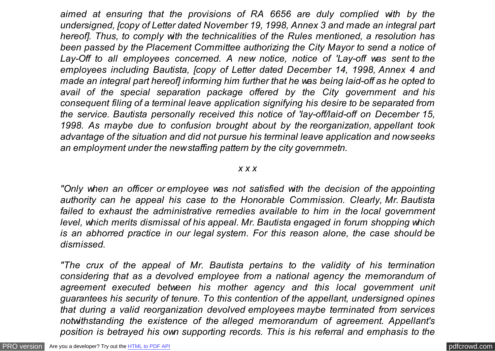*aimed at ensuring that the provisions of RA 6656 are duly complied with by the undersigned, [copy of Letter dated November 19, 1998, Annex 3 and made an integral part hereof]. Thus, to comply with the technicalities of the Rules mentioned, a resolution has been passed by the Placement Committee authorizing the City Mayor to send a notice of Lay-Off to all employees concerned. A new notice, notice of 'Lay-off was sent to the employees including Bautista, [copy of Letter dated December 14, 1998, Annex 4 and made an integral part hereof] informing him further that he was being laid-off as he opted to avail of the special separation package offered by the City government and his consequent filing of a terminal leave application signifying his desire to be separated from the service. Bautista personally received this notice of 'lay-off/laid-off on December 15, 1998. As maybe due to confusion brought about by the reorganization, appellant took advantage of the situation and did not pursue his terminal leave application and now seeks an employment under the new staffing pattern by the city governmetn.*

#### *x x x*

*"Only when an officer or employee was not satisfied with the decision of the appointing authority can he appeal his case to the Honorable Commission. Clearly, Mr. Bautista failed to exhaust the administrative remedies available to him in the local government level, which merits dismissal of his appeal. Mr. Bautista engaged in forum shopping which is an abhorred practice in our legal system. For this reason alone, the case should be dismissed.*

*"The crux of the appeal of Mr. Bautista pertains to the validity of his termination considering that as a devolved employee from a national agency the memorandum of agreement executed between his mother agency and this local government unit guarantees his security of tenure. To this contention of the appellant, undersigned opines that during a valid reorganization devolved employees maybe terminated from services notwithstanding the existence of the alleged memorandum of agreement. Appellant's position is betrayed his own supporting records. This is his referral and emphasis to the*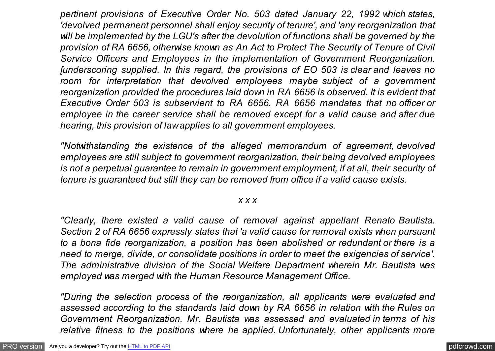*pertinent provisions of Executive Order No. 503 dated January 22, 1992 which states, 'devolved permanent personnel shall enjoy security of tenure', and 'any reorganization that will be implemented by the LGU's after the devolution of functions shall be governed by the provision of RA 6656, otherwise known as An Act to Protect The Security of Tenure of Civil Service Officers and Employees in the implementation of Government Reorganization. [underscoring supplied. In this regard, the provisions of EO 503 is clear and leaves no room for interpretation that devolved employees maybe subject of a government reorganization provided the procedures laid down in RA 6656 is observed. It is evident that Executive Order 503 is subservient to RA 6656. RA 6656 mandates that no officer or employee in the career service shall be removed except for a valid cause and after due hearing, this provision of law applies to all government employees.*

*"Notwithstanding the existence of the alleged memorandum of agreement, devolved employees are still subject to government reorganization, their being devolved employees is not a perpetual guarantee to remain in government employment, if at all, their security of tenure is guaranteed but still they can be removed from office if a valid cause exists.*

# *x x x*

*"Clearly, there existed a valid cause of removal against appellant Renato Bautista. Section 2 of RA 6656 expressly states that 'a valid cause for removal exists when pursuant to a bona fide reorganization, a position has been abolished or redundant or there is a need to merge, divide, or consolidate positions in order to meet the exigencies of service'. The administrative division of the Social Welfare Department wherein Mr. Bautista was employed was merged with the Human Resource Management Office.*

*"During the selection process of the reorganization, all applicants were evaluated and assessed according to the standards laid down by RA 6656 in relation with the Rules on Government Reorganization. Mr. Bautista was assessed and evaluated in terms of his relative fitness to the positions where he applied. Unfortunately, other applicants more*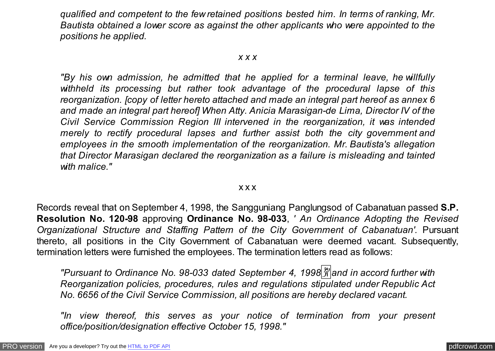*qualified and competent to the few retained positions bested him. In terms of ranking, Mr. Bautista obtained a lower score as against the other applicants who were appointed to the positions he applied.*

## *x x x*

*"By his own admission, he admitted that he applied for a terminal leave, he willfully withheld its processing but rather took advantage of the procedural lapse of this reorganization. [copy of letter hereto attached and made an integral part hereof as annex 6 and made an integral part hereof] When Atty. Anicia Marasigan-de Lima, Director IV of the Civil Service Commission Region III intervened in the reorganization, it was intended merely to rectify procedural lapses and further assist both the city government and employees in the smooth implementation of the reorganization. Mr. Bautista's allegation that Director Marasigan declared the reorganization as a failure is misleading and tainted with malice."*

#### x x x

Records reveal that on September 4, 1998, the Sangguniang Panglungsod of Cabanatuan passed **S.P. Resolution No. 120-98** approving **Ordinance No. 98-033**, *' An Ordinance Adopting the Revised Organizational Structure and Staffing Pattern of the City Government of Cabanatuan'.* Pursuant thereto, all positions in the City Government of Cabanatuan were deemed vacant. Subsequently, termination letters were furnished the employees. The termination letters read as follows:

*"Pursuant to Ordinance No. 98-033 dated September 4, 1998*�*and in accord further with Reorganization policies, procedures, rules and regulations stipulated under Republic Act No. 6656 of the Civil Service Commission, all positions are hereby declared vacant.*

*"In view thereof, this serves as your notice of termination from your present office/position/designation effective October 15, 1998."*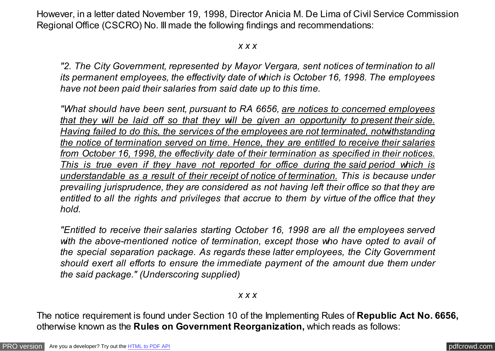However, in a letter dated November 19, 1998, Director Anicia M. De Lima of Civil Service Commission Regional Office (CSCRO) No. III made the following findings and recommendations:

*x x x*

*"2. The City Government, represented by Mayor Vergara, sent notices of termination to all its permanent employees, the effectivity date of which is October 16, 1998. The employees have not been paid their salaries from said date up to this time.*

*"What should have been sent, pursuant to RA 6656, are notices to concerned employees that they will be laid off so that they will be given an opportunity to present their side. Having failed to do this, the services of the employees are not terminated, notwithstanding the notice of termination served on time. Hence, they are entitled to receive their salaries from October 16, 1998, the effectivity date of their termination as specified in their notices. This is true even if they have not reported for office during the said period which is understandable as a result of their receipt of notice of termination. This is because under prevailing jurisprudence, they are considered as not having left their office so that they are entitled to all the rights and privileges that accrue to them by virtue of the office that they hold.*

*"Entitled to receive their salaries starting October 16, 1998 are all the employees served with the above-mentioned notice of termination, except those who have opted to avail of the special separation package. As regards these latter employees, the City Government should exert all efforts to ensure the immediate payment of the amount due them under the said package." (Underscoring supplied)*

*x x x*

The notice requirement is found under Section 10 of the Implementing Rules of **Republic Act No. 6656,** otherwise known as the **Rules on Government Reorganization,** which reads as follows: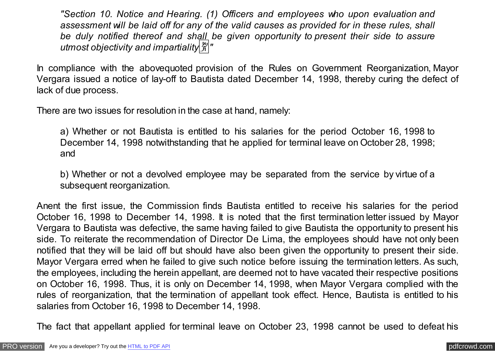*"Section 10. Notice and Hearing. (1) Officers and employees who upon evaluation and assessment will be laid off for any of the valid causes as provided for in these rules, shall be duly notified thereof and shall be given opportunity to present their side to assure utmost objectivity and impartiality*�*"*

In compliance with the abovequoted provision of the Rules on Government Reorganization, Mayor Vergara issued a notice of lay-off to Bautista dated December 14, 1998, thereby curing the defect of lack of due process.

There are two issues for resolution in the case at hand, namely:

a) Whether or not Bautista is entitled to his salaries for the period October 16, 1998 to December 14, 1998 notwithstanding that he applied for terminal leave on October 28, 1998; and

b) Whether or not a devolved employee may be separated from the service by virtue of a subsequent reorganization.

Anent the first issue, the Commission finds Bautista entitled to receive his salaries for the period October 16, 1998 to December 14, 1998. It is noted that the first termination letter issued by Mayor Vergara to Bautista was defective, the same having failed to give Bautista the opportunity to present his side. To reiterate the recommendation of Director De Lima, the employees should have not only been notified that they will be laid off but should have also been given the opportunity to present their side. Mayor Vergara erred when he failed to give such notice before issuing the termination letters. As such, the employees, including the herein appellant, are deemed not to have vacated their respective positions on October 16, 1998. Thus, it is only on December 14, 1998, when Mayor Vergara complied with the rules of reorganization, that the termination of appellant took effect. Hence, Bautista is entitled to his salaries from October 16, 1998 to December 14, 1998.

The fact that appellant applied for terminal leave on October 23, 1998 cannot be used to defeat his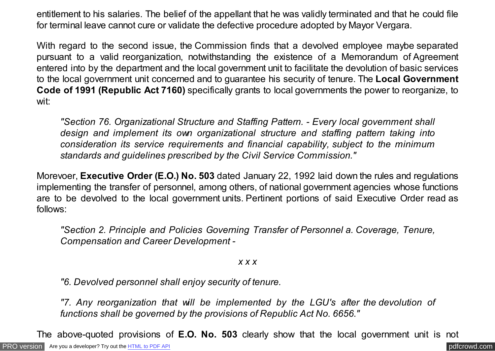entitlement to his salaries. The belief of the appellant that he was validly terminated and that he could file for terminal leave cannot cure or validate the defective procedure adopted by Mayor Vergara.

With regard to the second issue, the Commission finds that a devolved employee maybe separated pursuant to a valid reorganization, notwithstanding the existence of a Memorandum of Agreement entered into by the department and the local government unit to facilitate the devolution of basic services to the local government unit concerned and to guarantee his security of tenure. The **Local Government Code of 1991 (Republic Act 7160)** specifically grants to local governments the power to reorganize, to wit:

*"Section 76. Organizational Structure and Staffing Pattern. - Every local government shall design and implement its own organizational structure and staffing pattern taking into consideration its service requirements and financial capability, subject to the minimum standards and guidelines prescribed by the Civil Service Commission."*

Morevoer, **Executive Order (E.O.) No. 503** dated January 22, 1992 laid down the rules and regulations implementing the transfer of personnel, among others, of national government agencies whose functions are to be devolved to the local government units. Pertinent portions of said Executive Order read as follows:

*"Section 2. Principle and Policies Governing Transfer of Personnel a. Coverage, Tenure, Compensation and Career Development -*

*x x x*

*"6. Devolved personnel shall enjoy security of tenure.*

*"7. Any reorganization that will be implemented by the LGU's after the devolution of functions shall be governed by the provisions of Republic Act No. 6656."*

The above-quoted provisions of **E.O. No. 503** clearly show that the local government unit is not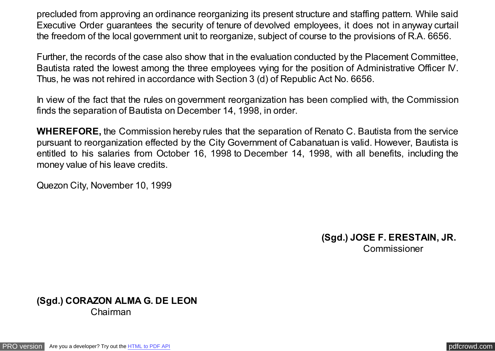precluded from approving an ordinance reorganizing its present structure and staffing pattern. While said Executive Order guarantees the security of tenure of devolved employees, it does not in anyway curtail the freedom of the local government unit to reorganize, subject of course to the provisions of R.A. 6656.

Further, the records of the case also show that in the evaluation conducted by the Placement Committee, Bautista rated the lowest among the three employees vying for the position of Administrative Officer IV. Thus, he was not rehired in accordance with Section 3 (d) of Republic Act No. 6656.

In view of the fact that the rules on government reorganization has been complied with, the Commission finds the separation of Bautista on December 14, 1998, in order.

**WHEREFORE,** the Commission hereby rules that the separation of Renato C. Bautista from the service pursuant to reorganization effected by the City Government of Cabanatuan is valid. However, Bautista is entitled to his salaries from October 16, 1998 to December 14, 1998, with all benefits, including the money value of his leave credits.

Quezon City, November 10, 1999

**(Sgd.) JOSE F. ERESTAIN, JR.** Commissioner

**(Sgd.) CORAZON ALMA G. DE LEON**  Chairman